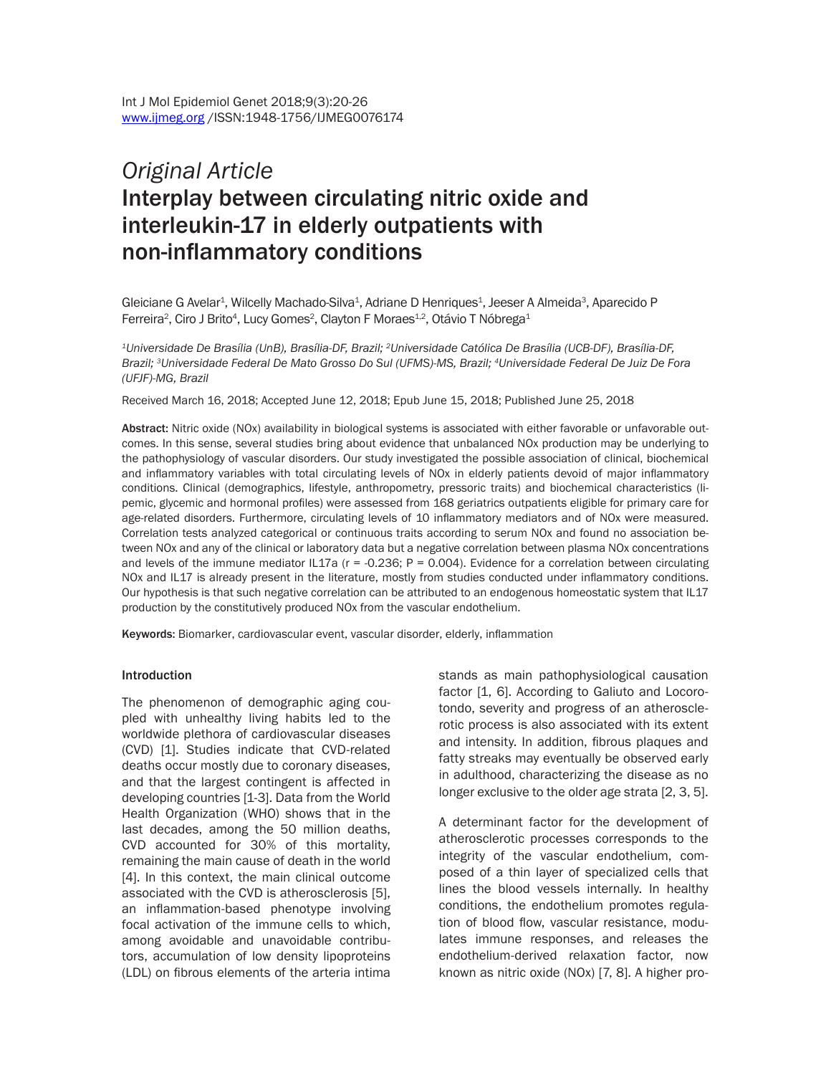# *Original Article*  Interplay between circulating nitric oxide and interleukin-17 in elderly outpatients with non-inflammatory conditions

Gleiciane G Avelar<sup>1</sup>, Wilcelly Machado-Silva<sup>1</sup>, Adriane D Henriques<sup>1</sup>, Jeeser A Almeida<sup>3</sup>, Aparecido P Ferreira<sup>2</sup>, Ciro J Brito<sup>4</sup>, Lucy Gomes<sup>2</sup>, Clayton F Moraes<sup>1,2</sup>, Otávio T Nóbrega<sup>1</sup>

*1Universidade De Brasília (UnB), Brasília-DF, Brazil; 2Universidade Católica De Brasília (UCB-DF), Brasília-DF, Brazil; 3Universidade Federal De Mato Grosso Do Sul (UFMS)-MS, Brazil; 4Universidade Federal De Juiz De Fora (UFJF)-MG, Brazil*

Received March 16, 2018; Accepted June 12, 2018; Epub June 15, 2018; Published June 25, 2018

Abstract: Nitric oxide (NOx) availability in biological systems is associated with either favorable or unfavorable outcomes. In this sense, several studies bring about evidence that unbalanced NOx production may be underlying to the pathophysiology of vascular disorders. Our study investigated the possible association of clinical, biochemical and inflammatory variables with total circulating levels of NOx in elderly patients devoid of major inflammatory conditions. Clinical (demographics, lifestyle, anthropometry, pressoric traits) and biochemical characteristics (lipemic, glycemic and hormonal profiles) were assessed from 168 geriatrics outpatients eligible for primary care for age-related disorders. Furthermore, circulating levels of 10 inflammatory mediators and of NOx were measured. Correlation tests analyzed categorical or continuous traits according to serum NOx and found no association between NOx and any of the clinical or laboratory data but a negative correlation between plasma NOx concentrations and levels of the immune mediator IL17a ( $r = -0.236$ ;  $P = 0.004$ ). Evidence for a correlation between circulating NOx and IL17 is already present in the literature, mostly from studies conducted under inflammatory conditions. Our hypothesis is that such negative correlation can be attributed to an endogenous homeostatic system that IL17 production by the constitutively produced NOx from the vascular endothelium.

Keywords: Biomarker, cardiovascular event, vascular disorder, elderly, inflammation

#### **Introduction**

The phenomenon of demographic aging coupled with unhealthy living habits led to the worldwide plethora of cardiovascular diseases (CVD) [1]. Studies indicate that CVD-related deaths occur mostly due to coronary diseases, and that the largest contingent is affected in developing countries [1-3]. Data from the World Health Organization (WHO) shows that in the last decades, among the 50 million deaths, CVD accounted for 30% of this mortality, remaining the main cause of death in the world [4]. In this context, the main clinical outcome associated with the CVD is atherosclerosis [5], an inflammation-based phenotype involving focal activation of the immune cells to which, among avoidable and unavoidable contributors, accumulation of low density lipoproteins (LDL) on fibrous elements of the arteria intima stands as main pathophysiological causation factor [1, 6]. According to Galiuto and Locorotondo, severity and progress of an atherosclerotic process is also associated with its extent and intensity. In addition, fibrous plaques and fatty streaks may eventually be observed early in adulthood, characterizing the disease as no longer exclusive to the older age strata [2, 3, 5].

A determinant factor for the development of atherosclerotic processes corresponds to the integrity of the vascular endothelium, composed of a thin layer of specialized cells that lines the blood vessels internally. In healthy conditions, the endothelium promotes regulation of blood flow, vascular resistance, modulates immune responses, and releases the endothelium-derived relaxation factor, now known as nitric oxide (NOx) [7, 8]. A higher pro-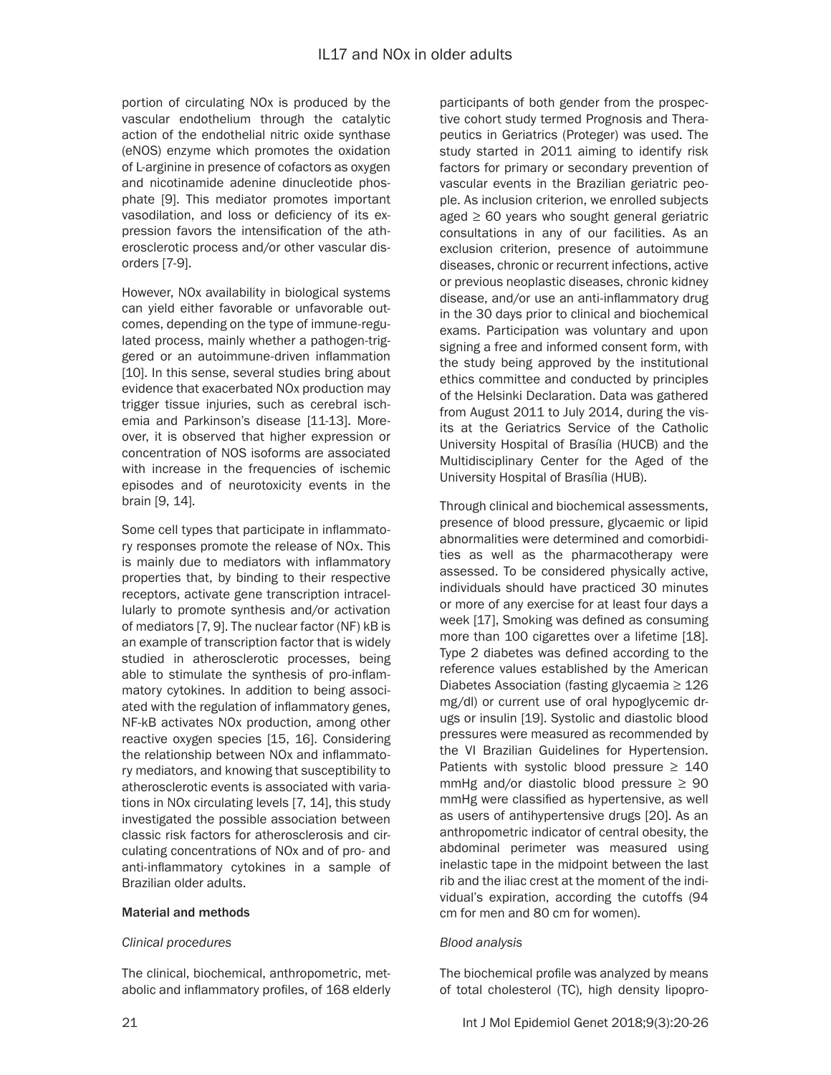portion of circulating NOx is produced by the vascular endothelium through the catalytic action of the endothelial nitric oxide synthase (eNOS) enzyme which promotes the oxidation of L-arginine in presence of cofactors as oxygen and nicotinamide adenine dinucleotide phosphate [9]. This mediator promotes important vasodilation, and loss or deficiency of its expression favors the intensification of the atherosclerotic process and/or other vascular disorders [7-9].

However, NOx availability in biological systems can yield either favorable or unfavorable outcomes, depending on the type of immune-regulated process, mainly whether a pathogen-triggered or an autoimmune-driven inflammation [10]. In this sense, several studies bring about evidence that exacerbated NOx production may trigger tissue injuries, such as cerebral ischemia and Parkinson's disease [11-13]. Moreover, it is observed that higher expression or concentration of NOS isoforms are associated with increase in the frequencies of ischemic episodes and of neurotoxicity events in the brain [9, 14].

Some cell types that participate in inflammatory responses promote the release of NOx. This is mainly due to mediators with inflammatory properties that, by binding to their respective receptors, activate gene transcription intracellularly to promote synthesis and/or activation of mediators [7, 9]. The nuclear factor (NF) kB is an example of transcription factor that is widely studied in atherosclerotic processes, being able to stimulate the synthesis of pro-inflammatory cytokines. In addition to being associated with the regulation of inflammatory genes, NF-kB activates NOx production, among other reactive oxygen species [15, 16]. Considering the relationship between NOx and inflammatory mediators, and knowing that susceptibility to atherosclerotic events is associated with variations in NOx circulating levels [7, 14], this study investigated the possible association between classic risk factors for atherosclerosis and circulating concentrations of NOx and of pro- and anti-inflammatory cytokines in a sample of Brazilian older adults.

## Material and methods

# *Clinical procedures*

The clinical, biochemical, anthropometric, metabolic and inflammatory profiles, of 168 elderly participants of both gender from the prospective cohort study termed Prognosis and Therapeutics in Geriatrics (Proteger) was used. The study started in 2011 aiming to identify risk factors for primary or secondary prevention of vascular events in the Brazilian geriatric people. As inclusion criterion, we enrolled subjects aged  $\geq 60$  years who sought general geriatric consultations in any of our facilities. As an exclusion criterion, presence of autoimmune diseases, chronic or recurrent infections, active or previous neoplastic diseases, chronic kidney disease, and/or use an anti-inflammatory drug in the 30 days prior to clinical and biochemical exams. Participation was voluntary and upon signing a free and informed consent form, with the study being approved by the institutional ethics committee and conducted by principles of the Helsinki Declaration. Data was gathered from August 2011 to July 2014, during the visits at the Geriatrics Service of the Catholic University Hospital of Brasília (HUCB) and the Multidisciplinary Center for the Aged of the University Hospital of Brasília (HUB).

Through clinical and biochemical assessments, presence of blood pressure, glycaemic or lipid abnormalities were determined and comorbidities as well as the pharmacotherapy were assessed. To be considered physically active, individuals should have practiced 30 minutes or more of any exercise for at least four days a week [17], Smoking was defined as consuming more than 100 cigarettes over a lifetime [18]. Type 2 diabetes was defined according to the reference values established by the American Diabetes Association (fasting glycaemia ≥ 126 mg/dl) or current use of oral hypoglycemic drugs or insulin [19]. Systolic and diastolic blood pressures were measured as recommended by the VI Brazilian Guidelines for Hypertension. Patients with systolic blood pressure  $\geq 140$ mmHg and/or diastolic blood pressure  $\geq 90$ mmHg were classified as hypertensive, as well as users of antihypertensive drugs [20]. As an anthropometric indicator of central obesity, the abdominal perimeter was measured using inelastic tape in the midpoint between the last rib and the iliac crest at the moment of the individual's expiration, according the cutoffs (94 cm for men and 80 cm for women).

## *Blood analysis*

The biochemical profile was analyzed by means of total cholesterol (TC), high density lipopro-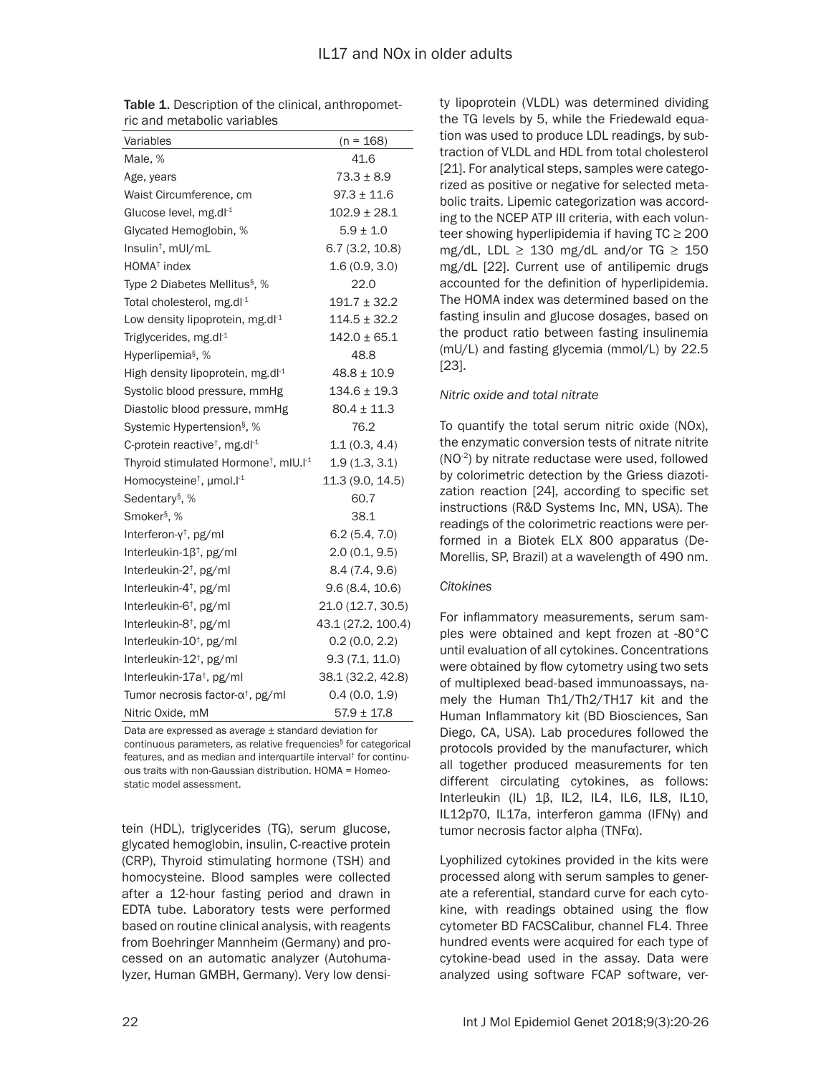| Variables                                                     | $(n = 168)$        |
|---------------------------------------------------------------|--------------------|
| Male, %                                                       | 41.6               |
| Age, years                                                    | $73.3 \pm 8.9$     |
| Waist Circumference, cm                                       | $97.3 \pm 11.6$    |
| Glucose level, mg.dl-1                                        | $102.9 \pm 28.1$   |
| Glycated Hemoglobin, %                                        | $5.9 \pm 1.0$      |
| Insulin <sup>†</sup> , mUI/mL                                 | 6.7(3.2, 10.8)     |
| HOMA <sup>+</sup> index                                       | 1.6(0.9, 3.0)      |
| Type 2 Diabetes Mellitus <sup>§</sup> , %                     | 22.0               |
| Total cholesterol, mg.dl-1                                    | $191.7 \pm 32.2$   |
| Low density lipoprotein, mg.dl-1                              | $114.5 \pm 32.2$   |
| Triglycerides, mg.dl-1                                        | $142.0 \pm 65.1$   |
| Hyperlipemia <sup>§</sup> , %                                 | 48.8               |
| High density lipoprotein, mg.dl $^1$                          | $48.8 \pm 10.9$    |
| Systolic blood pressure, mmHg                                 | $134.6 \pm 19.3$   |
| Diastolic blood pressure, mmHg                                | $80.4 \pm 11.3$    |
| Systemic Hypertension <sup>§</sup> , %                        | 76.2               |
| C-protein reactive <sup>+</sup> , mg.dl <sup>-1</sup>         | 1.1(0.3, 4.4)      |
| Thyroid stimulated Hormone <sup>+</sup> , mIU.I <sup>-1</sup> | 1.9(1.3, 3.1)      |
| Homocysteine <sup>†</sup> , µmol. <sup>11</sup>               | 11.3 (9.0, 14.5)   |
| Sedentary <sup>§</sup> , %                                    | 60.7               |
| Smoker <sup>§</sup> , %                                       | 38.1               |
| Interferon- $y^{\dagger}$ , pg/ml                             | 6.2(5.4, 7.0)      |
| Interleukin- $1\beta^{\dagger}$ , pg/ml                       | 2.0(0.1, 9.5)      |
| Interleukin-2 <sup>+</sup> , pg/ml                            | 8.4(7.4, 9.6)      |
| Interleukin-4 <sup>+</sup> , pg/ml                            | 9.6(8.4, 10.6)     |
| Interleukin-6 <sup>†</sup> , pg/ml                            | 21.0 (12.7, 30.5)  |
| Interleukin-8 <sup>†</sup> , pg/ml                            | 43.1 (27.2, 100.4) |
| Interleukin-10 <sup>+</sup> , pg/ml                           | 0.2(0.0, 2.2)      |
| Interleukin-12 <sup>+</sup> , pg/ml                           | 9.3(7.1, 11.0)     |
| Interleukin-17a <sup>+</sup> , pg/ml                          | 38.1 (32.2, 42.8)  |
| Tumor necrosis factor-α <sup>†</sup> , pg/ml                  | 0.4(0.0, 1.9)      |
| Nitric Oxide, mM                                              | $57.9 \pm 17.8$    |

Table 1. Description of the clinical, anthropometric and metabolic variables

Data are expressed as average ± standard deviation for continuous parameters, as relative frequencies§ for categorical features, and as median and interquartile interval† for continuous traits with non-Gaussian distribution. HOMA = Homeostatic model assessment.

tein (HDL), triglycerides (TG), serum glucose, glycated hemoglobin, insulin, C-reactive protein (CRP), Thyroid stimulating hormone (TSH) and homocysteine. Blood samples were collected after a 12-hour fasting period and drawn in EDTA tube. Laboratory tests were performed based on routine clinical analysis, with reagents from Boehringer Mannheim (Germany) and processed on an automatic analyzer (Autohumalyzer, Human GMBH, Germany). Very low densi-

ty lipoprotein (VLDL) was determined dividing the TG levels by 5, while the Friedewald equation was used to produce LDL readings, by subtraction of VLDL and HDL from total cholesterol [21]. For analytical steps, samples were categorized as positive or negative for selected metabolic traits. Lipemic categorization was according to the NCEP ATP III criteria, with each volunteer showing hyperlipidemia if having  $TC \ge 200$ mg/dL, LDL  $\geq$  130 mg/dL and/or TG  $\geq$  150 mg/dL [22]. Current use of antilipemic drugs accounted for the definition of hyperlipidemia. The HOMA index was determined based on the fasting insulin and glucose dosages, based on the product ratio between fasting insulinemia (mU/L) and fasting glycemia (mmol/L) by 22.5 [23].

## *Nitric oxide and total nitrate*

To quantify the total serum nitric oxide (NOx), the enzymatic conversion tests of nitrate nitrite (NO-2) by nitrate reductase were used, followed by colorimetric detection by the Griess diazotization reaction [24], according to specific set instructions (R&D Systems Inc, MN, USA). The readings of the colorimetric reactions were performed in a Biotek ELX 800 apparatus (De-Morellis, SP, Brazil) at a wavelength of 490 nm.

## *Citokines*

For inflammatory measurements, serum samples were obtained and kept frozen at -80°C until evaluation of all cytokines. Concentrations were obtained by flow cytometry using two sets of multiplexed bead-based immunoassays, namely the Human Th1/Th2/TH17 kit and the Human Inflammatory kit (BD Biosciences, San Diego, CA, USA). Lab procedures followed the protocols provided by the manufacturer, which all together produced measurements for ten different circulating cytokines, as follows: Interleukin (IL) 1β, IL2, IL4, IL6, IL8, IL10, IL12p70, IL17a, interferon gamma (IFNγ) and tumor necrosis factor alpha (TNFα).

Lyophilized cytokines provided in the kits were processed along with serum samples to generate a referential, standard curve for each cytokine, with readings obtained using the flow cytometer BD FACSCalibur, channel FL4. Three hundred events were acquired for each type of cytokine-bead used in the assay. Data were analyzed using software FCAP software, ver-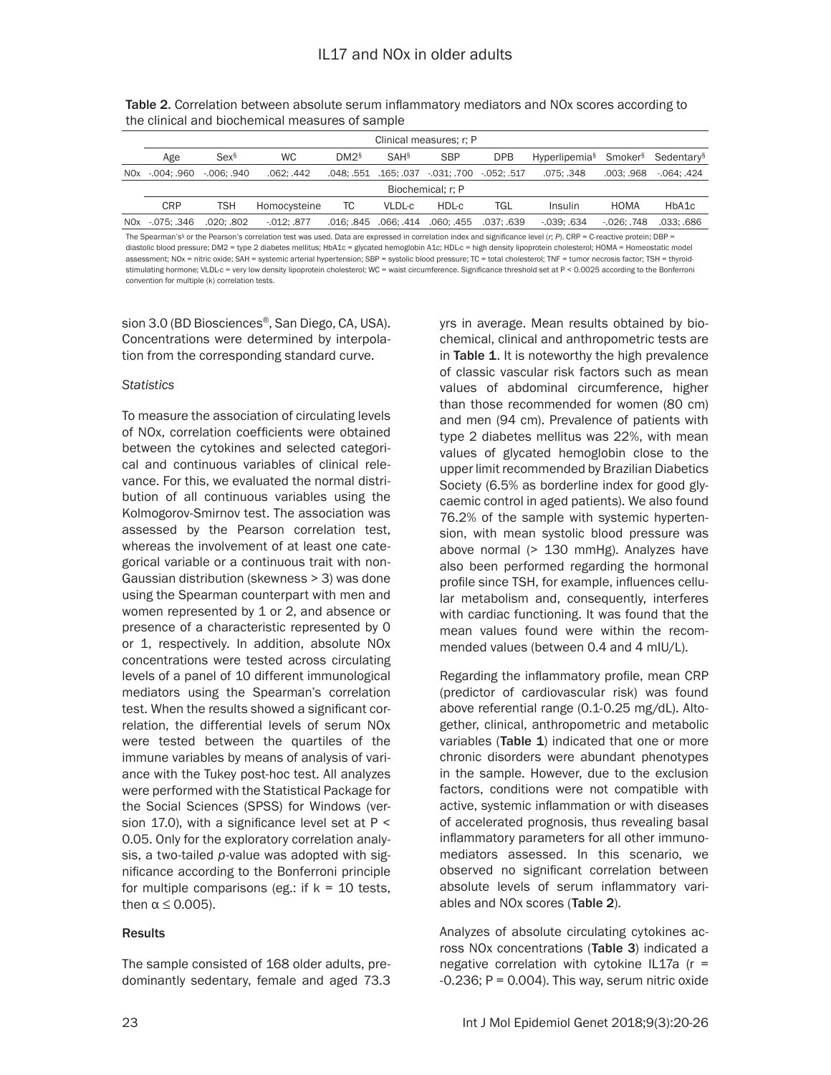| Clinical measures: r: P    |                  |                 |                  |                       |                                  |             |                                                                      |              |             |
|----------------------------|------------------|-----------------|------------------|-----------------------|----------------------------------|-------------|----------------------------------------------------------------------|--------------|-------------|
| Age                        | Sex <sup>§</sup> | <b>WC</b>       | DM2 <sup>§</sup> | SAH <sub>§</sub>      | <b>SBP</b>                       | <b>DPB</b>  | Hyperlipemia <sup>§</sup> Smoker <sup>§</sup> Sedentary <sup>§</sup> |              |             |
| NOx -.004: .960            | $-006:0940$      | .062: .442      |                  |                       | .048: .551 .165: .037 .031: .700 | -.052: .517 | .075: .348                                                           | .003: .968   | -.064: .424 |
| Biochemical: r: P          |                  |                 |                  |                       |                                  |             |                                                                      |              |             |
| <b>CRP</b>                 | <b>TSH</b>       | Homocysteine    | TC               | VLDL-c                | HDL-c                            | <b>TGL</b>  | Insulin                                                              | <b>HOMA</b>  | HbA1c       |
| NO <sub>x</sub> - 075: 346 | .020: .802       | $-0.012$ : .877 |                  | .016: .845 .066: .414 | .060: .455                       | .037: .639  | $-039:034$                                                           | $-026: .748$ | .033: .686  |

Table 2. Correlation between absolute serum inflammatory mediators and NOx scores according to the clinical and biochemical measures of sample

The Spearman's<sup>§</sup> or the Pearson's correlation test was used. Data are expressed in correlation index and significance level (*r*; *P*). CRP = C-reactive protein; DBP = diastolic blood pressure; DM2 = type 2 diabetes mellitus; HbA1c = glycated hemoglobin A1c; HDL-c = high density lipoprotein cholesterol; HOMA = Homeostatic model assessment; NOx = nitric oxide; SAH = systemic arterial hypertension; SBP = systolic blood pressure; TC = total cholesterol; TNF = tumor necrosis factor; TSH = thyroidstimulating hormone; VLDL-c = very low density lipoprotein cholesterol; WC = waist circumference. Significance threshold set at P < 0.0025 according to the Bonferroni convention for multiple (k) correlation tests.

sion 3.0 (BD Biosciences®, San Diego, CA, USA). Concentrations were determined by interpolation from the corresponding standard curve.

#### *Statistics*

To measure the association of circulating levels of NOx, correlation coefficients were obtained between the cytokines and selected categorical and continuous variables of clinical relevance. For this, we evaluated the normal distribution of all continuous variables using the Kolmogorov-Smirnov test. The association was assessed by the Pearson correlation test, whereas the involvement of at least one categorical variable or a continuous trait with non-Gaussian distribution (skewness > 3) was done using the Spearman counterpart with men and women represented by 1 or 2, and absence or presence of a characteristic represented by 0 or 1, respectively. In addition, absolute NOx concentrations were tested across circulating levels of a panel of 10 different immunological mediators using the Spearman's correlation test. When the results showed a significant correlation, the differential levels of serum NOx were tested between the quartiles of the immune variables by means of analysis of variance with the Tukey post-hoc test. All analyzes were performed with the Statistical Package for the Social Sciences (SPSS) for Windows (version 17.0), with a significance level set at  $P \leq$ 0.05. Only for the exploratory correlation analysis, a two-tailed *p*-value was adopted with significance according to the Bonferroni principle for multiple comparisons (eg.: if  $k = 10$  tests, then  $\alpha \leq 0.005$ ).

# Results

The sample consisted of 168 older adults, predominantly sedentary, female and aged 73.3 yrs in average. Mean results obtained by biochemical, clinical and anthropometric tests are in Table 1. It is noteworthy the high prevalence of classic vascular risk factors such as mean values of abdominal circumference, higher than those recommended for women (80 cm) and men (94 cm). Prevalence of patients with type 2 diabetes mellitus was 22%, with mean values of glycated hemoglobin close to the upper limit recommended by Brazilian Diabetics Society (6.5% as borderline index for good glycaemic control in aged patients). We also found 76.2% of the sample with systemic hypertension, with mean systolic blood pressure was above normal (> 130 mmHg). Analyzes have also been performed regarding the hormonal profile since TSH, for example, influences cellular metabolism and, consequently, interferes with cardiac functioning. It was found that the mean values found were within the recommended values (between 0.4 and 4 mIU/L).

Regarding the inflammatory profile, mean CRP (predictor of cardiovascular risk) was found above referential range (0.1-0.25 mg/dL). Altogether, clinical, anthropometric and metabolic variables (Table 1) indicated that one or more chronic disorders were abundant phenotypes in the sample. However, due to the exclusion factors, conditions were not compatible with active, systemic inflammation or with diseases of accelerated prognosis, thus revealing basal inflammatory parameters for all other immunomediators assessed. In this scenario, we observed no significant correlation between absolute levels of serum inflammatory variables and NOx scores (Table 2).

Analyzes of absolute circulating cytokines across NOx concentrations (Table 3) indicated a negative correlation with cytokine IL17a ( $r =$  $-0.236$ ; P = 0.004). This way, serum nitric oxide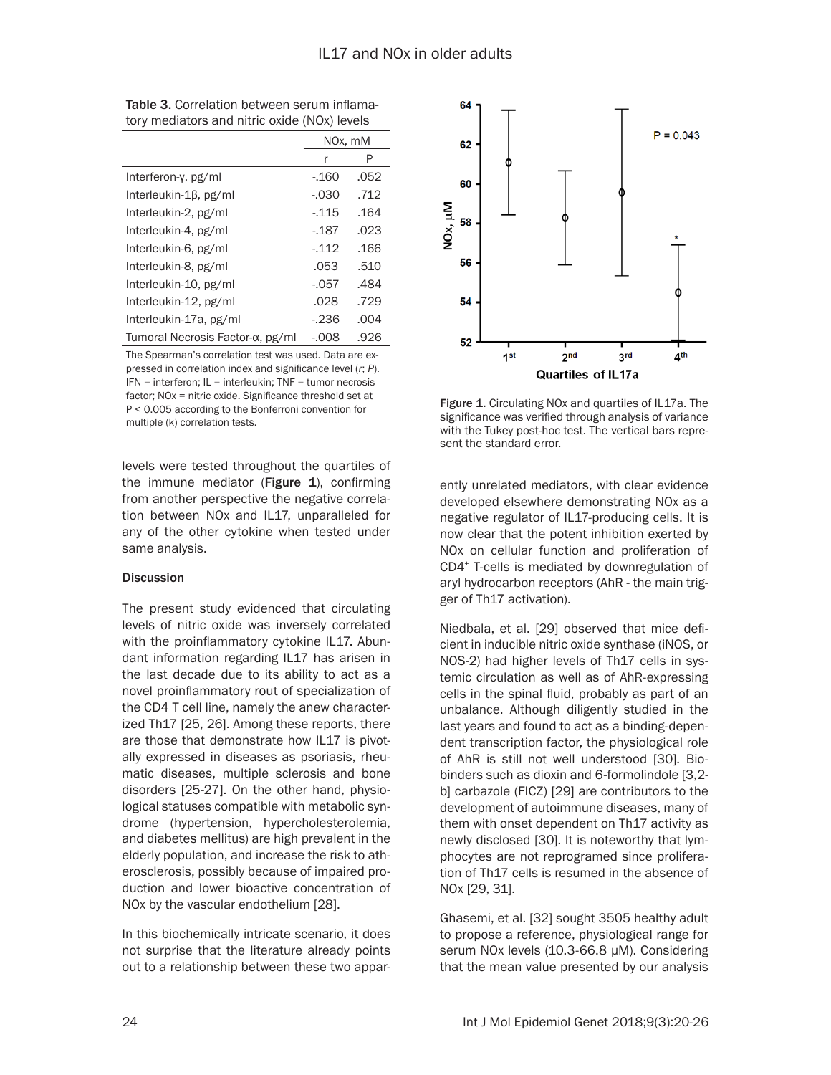|                                  | NOx, mM |      |
|----------------------------------|---------|------|
|                                  | r       | P    |
| Interferon-y, pg/ml              | -.160   | .052 |
| Interleukin-1β, pg/ml            | $-.030$ | .712 |
| Interleukin-2, pg/ml             | $-115$  | .164 |
| Interleukin-4, pg/ml             | $-187$  | .023 |
| Interleukin-6, pg/ml             | $-112$  | .166 |
| Interleukin-8, pg/ml             | .053    | .510 |
| Interleukin-10, pg/ml            | $-057$  | .484 |
| Interleukin-12, pg/ml            | .028    | .729 |
| Interleukin-17a, pg/ml           | $-236$  | .004 |
| Tumoral Necrosis Factor-α, pg/ml | $-0.08$ | .926 |

Table 3. Correlation between serum inflamatory mediators and nitric oxide (NOx) levels

The Spearman's correlation test was used. Data are expressed in correlation index and significance level (*r*; *P*). IFN = interferon; IL = interleukin; TNF = tumor necrosis factor; NOx = nitric oxide. Significance threshold set at P < 0.005 according to the Bonferroni convention for multiple (k) correlation tests.

levels were tested throughout the quartiles of the immune mediator (Figure  $1$ ), confirming from another perspective the negative correlation between NOx and IL17, unparalleled for any of the other cytokine when tested under same analysis.

## **Discussion**

The present study evidenced that circulating levels of nitric oxide was inversely correlated with the proinflammatory cytokine IL17. Abundant information regarding IL17 has arisen in the last decade due to its ability to act as a novel proinflammatory rout of specialization of the CD4 T cell line, namely the anew characterized Th17 [25, 26]. Among these reports, there are those that demonstrate how IL17 is pivotally expressed in diseases as psoriasis, rheumatic diseases, multiple sclerosis and bone disorders [25-27]. On the other hand, physiological statuses compatible with metabolic syndrome (hypertension, hypercholesterolemia, and diabetes mellitus) are high prevalent in the elderly population, and increase the risk to atherosclerosis, possibly because of impaired production and lower bioactive concentration of NOx by the vascular endothelium [28].

In this biochemically intricate scenario, it does not surprise that the literature already points out to a relationship between these two appar-



Figure 1. Circulating NOx and quartiles of IL17a. The significance was verified through analysis of variance with the Tukey post-hoc test. The vertical bars represent the standard error.

ently unrelated mediators, with clear evidence developed elsewhere demonstrating NOx as a negative regulator of IL17-producing cells. It is now clear that the potent inhibition exerted by NOx on cellular function and proliferation of CD4+ T-cells is mediated by downregulation of aryl hydrocarbon receptors (AhR - the main trigger of Th17 activation).

Niedbala, et al. [29] observed that mice deficient in inducible nitric oxide synthase (iNOS, or NOS-2) had higher levels of Th17 cells in systemic circulation as well as of AhR-expressing cells in the spinal fluid, probably as part of an unbalance. Although diligently studied in the last years and found to act as a binding-dependent transcription factor, the physiological role of AhR is still not well understood [30]. Biobinders such as dioxin and 6-formolindole [3,2 b] carbazole (FICZ) [29] are contributors to the development of autoimmune diseases, many of them with onset dependent on Th17 activity as newly disclosed [30]. It is noteworthy that lymphocytes are not reprogramed since proliferation of Th17 cells is resumed in the absence of NOx [29, 31].

Ghasemi, et al. [32] sought 3505 healthy adult to propose a reference, physiological range for serum NOx levels (10.3-66.8 μM). Considering that the mean value presented by our analysis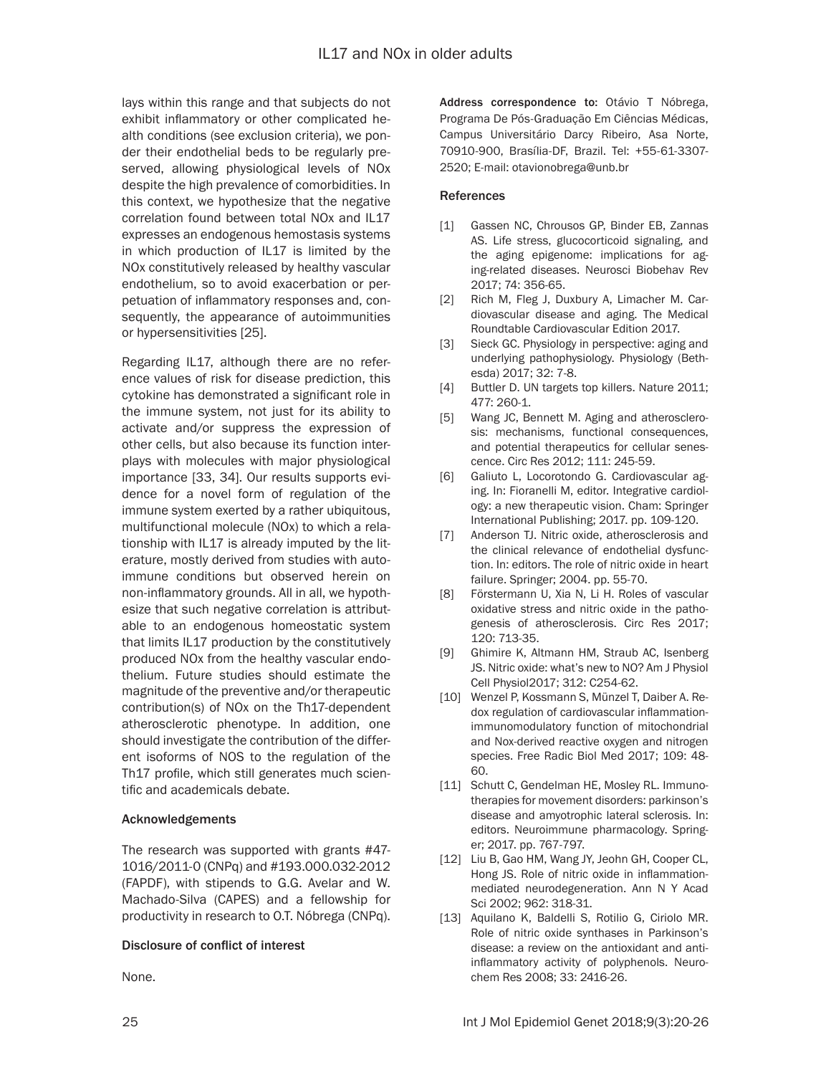lays within this range and that subjects do not exhibit inflammatory or other complicated health conditions (see exclusion criteria), we ponder their endothelial beds to be regularly preserved, allowing physiological levels of NOx despite the high prevalence of comorbidities. In this context, we hypothesize that the negative correlation found between total NOx and IL17 expresses an endogenous hemostasis systems in which production of IL17 is limited by the NOx constitutively released by healthy vascular endothelium, so to avoid exacerbation or perpetuation of inflammatory responses and, consequently, the appearance of autoimmunities or hypersensitivities [25].

Regarding IL17, although there are no reference values of risk for disease prediction, this cytokine has demonstrated a significant role in the immune system, not just for its ability to activate and/or suppress the expression of other cells, but also because its function interplays with molecules with major physiological importance [33, 34]. Our results supports evidence for a novel form of regulation of the immune system exerted by a rather ubiquitous, multifunctional molecule (NOx) to which a relationship with IL17 is already imputed by the literature, mostly derived from studies with autoimmune conditions but observed herein on non-inflammatory grounds. All in all, we hypothesize that such negative correlation is attributable to an endogenous homeostatic system that limits IL17 production by the constitutively produced NOx from the healthy vascular endothelium. Future studies should estimate the magnitude of the preventive and/or therapeutic contribution(s) of NOx on the Th17-dependent atherosclerotic phenotype. In addition, one should investigate the contribution of the different isoforms of NOS to the regulation of the Th17 profile, which still generates much scientific and academicals debate.

## Acknowledgements

The research was supported with grants #47- 1016/2011-0 (CNPq) and #193.000.032-2012 (FAPDF), with stipends to G.G. Avelar and W. Machado-Silva (CAPES) and a fellowship for productivity in research to O.T. Nóbrega (CNPq).

## Disclosure of conflict of interest

None.

Address correspondence to: Otávio T Nóbrega, Programa De Pós-Graduação Em Ciências Médicas, Campus Universitário Darcy Ribeiro, Asa Norte, 70910-900, Brasília-DF, Brazil. Tel: +55-61-3307- 2520; E-mail: otavionobrega@unb.br

#### References

- [1] Gassen NC, Chrousos GP, Binder EB, Zannas AS. Life stress, glucocorticoid signaling, and the aging epigenome: implications for aging-related diseases. Neurosci Biobehav Rev 2017; 74: 356-65.
- [2] Rich M, Fleg J, Duxbury A, Limacher M. Cardiovascular disease and aging. The Medical Roundtable Cardiovascular Edition 2017.
- [3] Sieck GC. Physiology in perspective: aging and underlying pathophysiology. Physiology (Bethesda) 2017; 32: 7-8.
- [4] Buttler D. UN targets top killers. Nature 2011; 477: 260-1.
- [5] Wang JC, Bennett M. Aging and atherosclerosis: mechanisms, functional consequences, and potential therapeutics for cellular senescence. Circ Res 2012; 111: 245-59.
- [6] Galiuto L, Locorotondo G. Cardiovascular aging. In: Fioranelli M, editor. Integrative cardiology: a new therapeutic vision. Cham: Springer International Publishing; 2017. pp. 109-120.
- [7] Anderson TJ. Nitric oxide, atherosclerosis and the clinical relevance of endothelial dysfunction. In: editors. The role of nitric oxide in heart failure. Springer; 2004. pp. 55-70.
- [8] Förstermann U, Xia N, Li H. Roles of vascular oxidative stress and nitric oxide in the pathogenesis of atherosclerosis. Circ Res 2017; 120: 713-35.
- [9] Ghimire K, Altmann HM, Straub AC, Isenberg JS. Nitric oxide: what's new to NO? Am J Physiol Cell Physiol2017; 312: C254-62.
- [10] Wenzel P, Kossmann S, Münzel T, Daiber A. Redox regulation of cardiovascular inflammationimmunomodulatory function of mitochondrial and Nox-derived reactive oxygen and nitrogen species. Free Radic Biol Med 2017; 109: 48- 60.
- [11] Schutt C, Gendelman HE, Mosley RL. Immunotherapies for movement disorders: parkinson's disease and amyotrophic lateral sclerosis. In: editors. Neuroimmune pharmacology. Springer; 2017. pp. 767-797.
- [12] Liu B, Gao HM, Wang JY, Jeohn GH, Cooper CL, Hong JS. Role of nitric oxide in inflammationmediated neurodegeneration. Ann N Y Acad Sci 2002; 962: 318-31.
- [13] Aquilano K, Baldelli S, Rotilio G, Ciriolo MR. Role of nitric oxide synthases in Parkinson's disease: a review on the antioxidant and antiinflammatory activity of polyphenols. Neurochem Res 2008; 33: 2416-26.